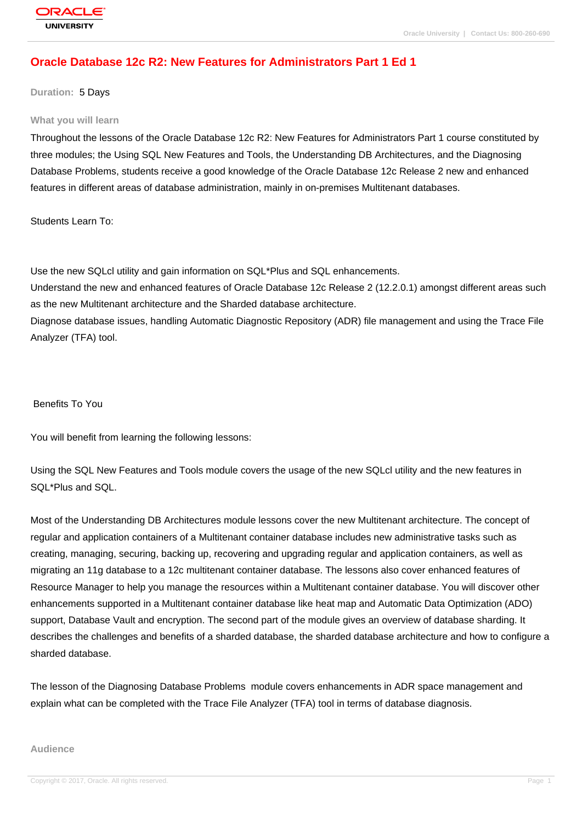# **[Oracle Databas](http://education.oracle.com/pls/web_prod-plq-dad/db_pages.getpage?page_id=3)e 12c R2: New Features for Administrators Part 1 Ed 1**

**Duration:** 5 Days

#### **What you will learn**

Throughout the lessons of the Oracle Database 12c R2: New Features for Administrators Part 1 course constituted by three modules; the Using SQL New Features and Tools, the Understanding DB Architectures, and the Diagnosing Database Problems, students receive a good knowledge of the Oracle Database 12c Release 2 new and enhanced features in different areas of database administration, mainly in on-premises Multitenant databases.

Students Learn To:

Use the new SQLcl utility and gain information on SQL\*Plus and SQL enhancements.

Understand the new and enhanced features of Oracle Database 12c Release 2 (12.2.0.1) amongst different areas such as the new Multitenant architecture and the Sharded database architecture.

Diagnose database issues, handling Automatic Diagnostic Repository (ADR) file management and using the Trace File Analyzer (TFA) tool.

### Benefits To You

You will benefit from learning the following lessons:

Using the SQL New Features and Tools module covers the usage of the new SQLcl utility and the new features in SQL\*Plus and SQL.

Most of the Understanding DB Architectures module lessons cover the new Multitenant architecture. The concept of regular and application containers of a Multitenant container database includes new administrative tasks such as creating, managing, securing, backing up, recovering and upgrading regular and application containers, as well as migrating an 11g database to a 12c multitenant container database. The lessons also cover enhanced features of Resource Manager to help you manage the resources within a Multitenant container database. You will discover other enhancements supported in a Multitenant container database like heat map and Automatic Data Optimization (ADO) support, Database Vault and encryption. The second part of the module gives an overview of database sharding. It describes the challenges and benefits of a sharded database, the sharded database architecture and how to configure a sharded database.

The lesson of the Diagnosing Database Problems module covers enhancements in ADR space management and explain what can be completed with the Trace File Analyzer (TFA) tool in terms of database diagnosis.

#### **Audience**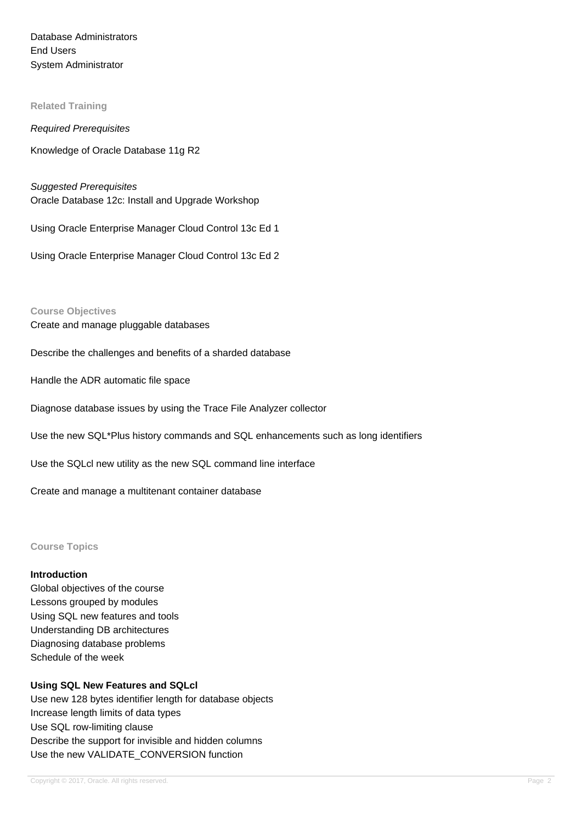Database Administrators End Users System Administrator

#### **Related Training**

Required Prerequisites

Knowledge of Oracle Database 11g R2

Suggested Prerequisites Oracle Database 12c: Install and Upgrade Workshop

Using Oracle Enterprise Manager Cloud Control 13c Ed 1

Using Oracle Enterprise Manager Cloud Control 13c Ed 2

#### **Course Objectives**

Create and manage pluggable databases

Describe the challenges and benefits of a sharded database

Handle the ADR automatic file space

Diagnose database issues by using the Trace File Analyzer collector

Use the new SQL\*Plus history commands and SQL enhancements such as long identifiers

Use the SQLcl new utility as the new SQL command line interface

Create and manage a multitenant container database

**Course Topics**

### **Introduction**

Global objectives of the course Lessons grouped by modules Using SQL new features and tools Understanding DB architectures Diagnosing database problems Schedule of the week

#### **Using SQL New Features and SQLcl**

Use new 128 bytes identifier length for database objects Increase length limits of data types Use SQL row-limiting clause Describe the support for invisible and hidden columns Use the new VALIDATE\_CONVERSION function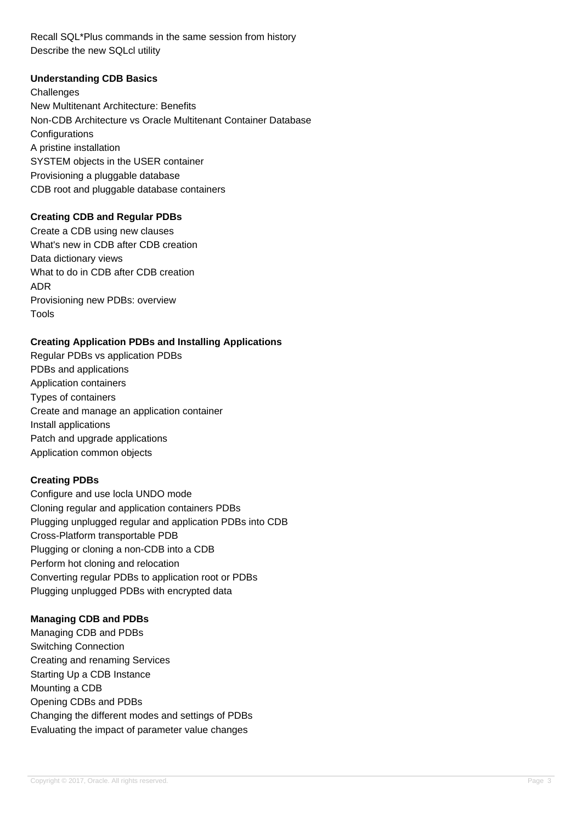Recall SQL\*Plus commands in the same session from history Describe the new SQLcl utility

### **Understanding CDB Basics**

**Challenges** New Multitenant Architecture: Benefits Non-CDB Architecture vs Oracle Multitenant Container Database **Configurations** A pristine installation SYSTEM objects in the USER container Provisioning a pluggable database CDB root and pluggable database containers

### **Creating CDB and Regular PDBs**

Create a CDB using new clauses What's new in CDB after CDB creation Data dictionary views What to do in CDB after CDB creation ADR Provisioning new PDBs: overview Tools

# **Creating Application PDBs and Installing Applications**

Regular PDBs vs application PDBs PDBs and applications Application containers Types of containers Create and manage an application container Install applications Patch and upgrade applications Application common objects

### **Creating PDBs**

Configure and use locla UNDO mode Cloning regular and application containers PDBs Plugging unplugged regular and application PDBs into CDB Cross-Platform transportable PDB Plugging or cloning a non-CDB into a CDB Perform hot cloning and relocation Converting regular PDBs to application root or PDBs Plugging unplugged PDBs with encrypted data

### **Managing CDB and PDBs**

Managing CDB and PDBs Switching Connection Creating and renaming Services Starting Up a CDB Instance Mounting a CDB Opening CDBs and PDBs Changing the different modes and settings of PDBs Evaluating the impact of parameter value changes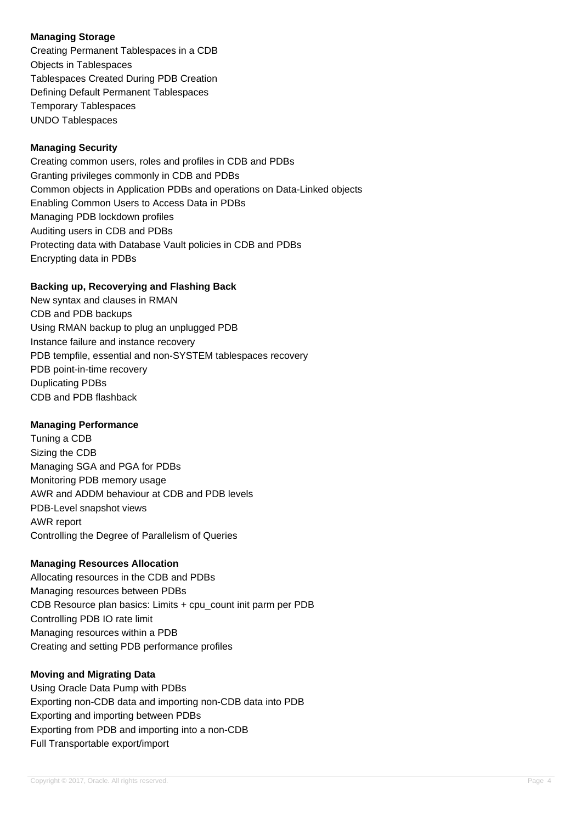# **Managing Storage**

Creating Permanent Tablespaces in a CDB Objects in Tablespaces Tablespaces Created During PDB Creation Defining Default Permanent Tablespaces Temporary Tablespaces UNDO Tablespaces

# **Managing Security**

Creating common users, roles and profiles in CDB and PDBs Granting privileges commonly in CDB and PDBs Common objects in Application PDBs and operations on Data-Linked objects Enabling Common Users to Access Data in PDBs Managing PDB lockdown profiles Auditing users in CDB and PDBs Protecting data with Database Vault policies in CDB and PDBs Encrypting data in PDBs

# **Backing up, Recoverying and Flashing Back**

New syntax and clauses in RMAN CDB and PDB backups Using RMAN backup to plug an unplugged PDB Instance failure and instance recovery PDB tempfile, essential and non-SYSTEM tablespaces recovery PDB point-in-time recovery Duplicating PDBs CDB and PDB flashback

### **Managing Performance**

Tuning a CDB Sizing the CDB Managing SGA and PGA for PDBs Monitoring PDB memory usage AWR and ADDM behaviour at CDB and PDB levels PDB-Level snapshot views AWR report Controlling the Degree of Parallelism of Queries

# **Managing Resources Allocation**

Allocating resources in the CDB and PDBs Managing resources between PDBs CDB Resource plan basics: Limits + cpu\_count init parm per PDB Controlling PDB IO rate limit Managing resources within a PDB Creating and setting PDB performance profiles

### **Moving and Migrating Data**

Using Oracle Data Pump with PDBs Exporting non-CDB data and importing non-CDB data into PDB Exporting and importing between PDBs Exporting from PDB and importing into a non-CDB Full Transportable export/import